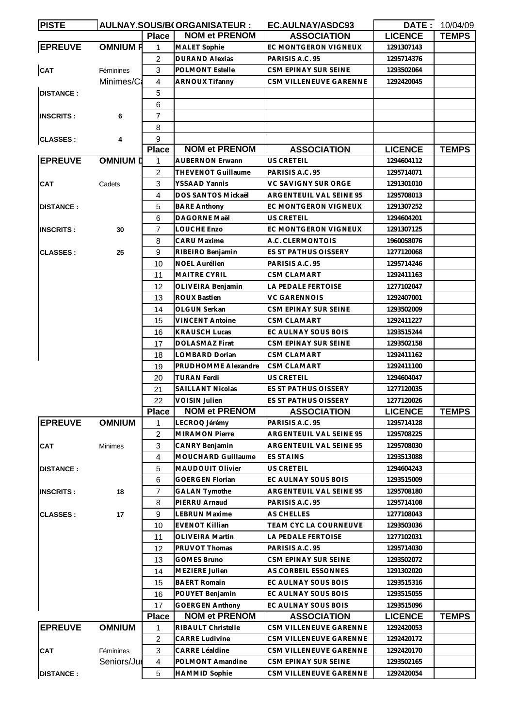| <b>PISTE</b>     |                 |                | AULNAY.SOUS/B(ORGANISATEUR : | EC.AULNAY/ASDC93            |                | <b>DATE: 10/04/09</b> |
|------------------|-----------------|----------------|------------------------------|-----------------------------|----------------|-----------------------|
|                  |                 | <b>Place</b>   | <b>NOM et PRENOM</b>         | <b>ASSOCIATION</b>          | <b>LICENCE</b> | <b>TEMPS</b>          |
| <b>EPREUVE</b>   | <b>OMNIUM R</b> | 1              | <b>MALET Sophie</b>          | EC MONTGERON VIGNEUX        | 1291307143     |                       |
|                  |                 | $\overline{2}$ | <b>DURAND Alexias</b>        | PARISIS A.C. 95             | 1295714376     |                       |
| CAT              | Féminines       | 3              | <b>POLMONT Estelle</b>       | <b>CSM EPINAY SUR SEINE</b> | 1293502064     |                       |
|                  | Minimes/Ca      | 4              | <b>ARNOUX Tifanny</b>        | CSM VILLENEUVE GARENNE      | 1292420045     |                       |
| <b>DISTANCE:</b> |                 | 5              |                              |                             |                |                       |
|                  |                 | 6              |                              |                             |                |                       |
| <b>INSCRITS:</b> | 6               | $\overline{7}$ |                              |                             |                |                       |
|                  |                 | 8              |                              |                             |                |                       |
| <b>CLASSES:</b>  | 4               | 9              |                              |                             |                |                       |
|                  |                 | <b>Place</b>   | <b>NOM et PRENOM</b>         | <b>ASSOCIATION</b>          | <b>LICENCE</b> | <b>TEMPS</b>          |
| <b>EPREUVE</b>   | <b>OMNIUM D</b> | 1              | <b>AUBERNON Erwann</b>       | US CRETEIL                  | 1294604112     |                       |
|                  |                 | 2              | THEVENOT Guillaume           | PARISIS A.C. 95             | 1295714071     |                       |
| <b>CAT</b>       | Cadets          | 3              | YSSAAD Yannis                | VC SAVIGNY SUR ORGE         | 1291301010     |                       |
|                  |                 | 4              | DOS SANTOS Mickaël           | ARGENTEUIL VAL SEINE 95     | 1295708013     |                       |
| <b>DISTANCE:</b> |                 | 5              | <b>BARE Anthony</b>          | EC MONTGERON VIGNEUX        | 1291307252     |                       |
|                  |                 | 6              | DAGORNE Maël                 | US CRETEIL                  | 1294604201     |                       |
| <b>INSCRITS:</b> | 30              | $\overline{7}$ | LOUCHE Enzo                  | EC MONTGERON VIGNEUX        | 1291307125     |                       |
|                  |                 | 8              | <b>CARU Maxime</b>           | A.C. CLERMONTOIS            | 1960058076     |                       |
| <b>CLASSES:</b>  | 25              | 9              | RIBEIRO Benjamin             | ES ST PATHUS OISSERY        | 1277120068     |                       |
|                  |                 | 10             | <b>NOEL Aurélien</b>         | PARISIS A.C. 95             | 1295714246     |                       |
|                  |                 | 11             | <b>MAITRE CYRIL</b>          | CSM CLAMART                 | 1292411163     |                       |
|                  |                 | 12             | OLIVEIRA Benjamin            | LA PEDALE FERTOISE          | 1277102047     |                       |
|                  |                 | 13             | <b>ROUX Bastien</b>          | <b>VC GARENNOIS</b>         | 1292407001     |                       |
|                  |                 | 14             | OLGUN Serkan                 | CSM EPINAY SUR SEINE        | 1293502009     |                       |
|                  |                 | 15             | <b>VINCENT Antoine</b>       | <b>CSM CLAMART</b>          | 1292411227     |                       |
|                  |                 | 16             | <b>KRAUSCH Lucas</b>         | EC AULNAY SOUS BOIS         | 1293515244     |                       |
|                  |                 | 17             | DOLASMAZ Firat               | CSM EPINAY SUR SEINE        | 1293502158     |                       |
|                  |                 | 18             | LOMBARD Dorian               | <b>CSM CLAMART</b>          | 1292411162     |                       |
|                  |                 | 19             | PRUDHOMME Alexandre          | CSM CLAMART                 | 1292411100     |                       |
|                  |                 | 20             | <b>TURAN Ferdi</b>           | US CRETEIL                  | 1294604047     |                       |
|                  |                 | 21             | <b>SAILLANT Nicolas</b>      | ES ST PATHUS OISSERY        | 1277120035     |                       |
|                  |                 | 22             | <b>VOISIN Julien</b>         | ES ST PATHUS OISSERY        | 1277120026     |                       |
|                  |                 | <b>Place</b>   | <b>NOM et PRENOM</b>         | <b>ASSOCIATION</b>          | <b>LICENCE</b> | <b>TEMPS</b>          |
| <b>EPREUVE</b>   | <b>OMNIUM</b>   | 1              | LECROQ Jérémy                | PARISIS A.C. 95             | 1295714128     |                       |
|                  |                 | $\overline{c}$ | <b>MIRAMON Pierre</b>        | ARGENTEUIL VAL SEINE 95     | 1295708225     |                       |
| <b>CAT</b>       | Minimes         | 3              | CANRY Benjamin               | ARGENTEUIL VAL SEINE 95     | 1295708030     |                       |
|                  |                 | $\overline{4}$ | MOUCHARD Guillaume           | <b>ES STAINS</b>            | 1293513088     |                       |
| <b>DISTANCE:</b> |                 | 5              | MAUDOUIT Olivier             | US CRETEIL                  | 1294604243     |                       |
|                  |                 | 6              | <b>GOERGEN Florian</b>       | EC AULNAY SOUS BOIS         | 1293515009     |                       |
| <b>INSCRITS:</b> | 18              | $\overline{7}$ | <b>GALAN Tymothe</b>         | ARGENTEUIL VAL SEINE 95     | 1295708180     |                       |
|                  |                 | 8              | PIERRU Arnaud                | PARISIS A.C. 95             | 1295714108     |                       |
| <b>CLASSES:</b>  | 17              | 9              | <b>LEBRUN Maxime</b>         | AS CHELLES                  | 1277108043     |                       |
|                  |                 | 10             | <b>EVENOT Killian</b>        | TEAM CYC LA COURNEUVE       | 1293503036     |                       |
|                  |                 | 11             | <b>OLIVEIRA Martin</b>       | LA PEDALE FERTOISE          | 1277102031     |                       |
|                  |                 | 12             | PRUVOT Thomas                | PARISIS A.C. 95             | 1295714030     |                       |
|                  |                 | 13             | <b>GOMES Bruno</b>           | CSM EPINAY SUR SEINE        | 1293502072     |                       |
|                  |                 | 14             | MEZIERE Julien               | AS CORBEIL ESSONNES         | 1291302020     |                       |
|                  |                 | 15             | <b>BAERT Romain</b>          | EC AULNAY SOUS BOIS         | 1293515316     |                       |
|                  |                 | 16             | POUYET Benjamin              | EC AULNAY SOUS BOIS         | 1293515055     |                       |
|                  |                 | 17             | <b>GOERGEN Anthony</b>       | EC AULNAY SOUS BOIS         | 1293515096     |                       |
|                  |                 | <b>Place</b>   | <b>NOM et PRENOM</b>         | <b>ASSOCIATION</b>          | <b>LICENCE</b> | <b>TEMPS</b>          |
| <b>EPREUVE</b>   | <b>OMNIUM</b>   | 1              | RIBAULT Christelle           | CSM VILLENEUVE GARENNE      | 1292420053     |                       |
|                  |                 | $\overline{c}$ | <b>CARRE Ludivine</b>        | CSM VILLENEUVE GARENNE      | 1292420172     |                       |
| <b>CAT</b>       | Féminines       | 3              | <b>CARRE Léaldine</b>        | CSM VILLENEUVE GARENNE      | 1292420170     |                       |
|                  | Seniors/Jur     | 4              | POLMONT Amandine             | CSM EPINAY SUR SEINE        | 1293502165     |                       |
| <b>DISTANCE:</b> |                 | 5              | <b>HAMMID Sophie</b>         | CSM VILLENEUVE GARENNE      | 1292420054     |                       |